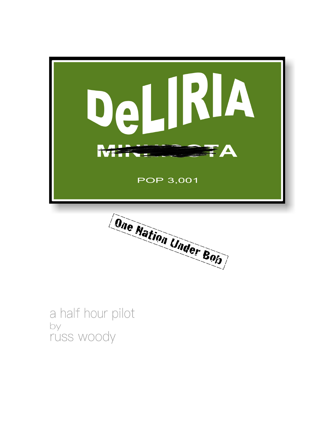

Dne Nation Under Bob

a half hour pilot by russ woody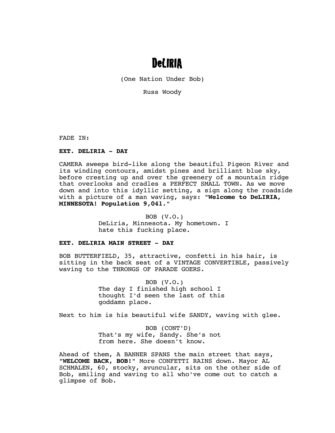# DeLIRIA

(One Nation Under Bob)

Russ Woody

FADE IN:

## **EXT. DELIRIA - DAY**

CAMERA sweeps bird-like along the beautiful Pigeon River and its winding contours, amidst pines and brilliant blue sky, before cresting up and over the greenery of a mountain ridge that overlooks and cradles a PERFECT SMALL TOWN. As we move down and into this idyllic setting, a sign along the roadside with a picture of a man waving, says: **"Welcome to DeLIRIA, MINNESOTA! Population 9,041."**

> BOB (V.O.) DeLiria, Minnesota. My hometown. I hate this fucking place.

#### **EXT. DELIRIA MAIN STREET - DAY**

BOB BUTTERFIELD, 35, attractive, confetti in his hair, is sitting in the back seat of a VINTAGE CONVERTIBLE, passively waving to the THRONGS OF PARADE GOERS.

> BOB (V.O.) The day I finished high school I thought I'd seen the last of this goddamn place.

Next to him is his beautiful wife SANDY, waving with glee.

BOB (CONT'D) That's my wife, Sandy. She's not from here. She doesn't know.

Ahead of them, A BANNER SPANS the main street that says, **"WELCOME BACK, BOB!"** More CONFETTI RAINS down. Mayor AL SCHMALEN, 60, stocky, avuncular, sits on the other side of Bob, smiling and waving to all who've come out to catch a glimpse of Bob.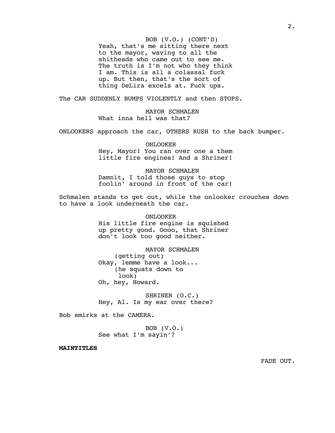BOB (V.O.) (CONT'D) Yeah, that's me sitting there next to the mayor, waving to all the shitheads who came out to see me. The truth is I'm not who they think I am. This is all a colassal fuck up. But then, that's the sort of thing DeLira excels at. Fuck ups.

The CAR SUDDENLY BUMPS VIOLENTLY and then STOPS.

MAYOR SCHMALEN What inna hell was that?

ONLOOKERS approach the car, OTHERS RUSH to the back bumper.

ONLOOKER Hey, Mayor! You ran over one a them little fire engines! And a Shriner!

MAYOR SCHMALEN Damnit, I told those guys to stop foolin' around in front of the car!

Schmalen stands to get out, while the onlooker crouches down to have a look underneath the car.

ONLOOKER

His little fire engine is squished up pretty good. Oooo, that Shriner don't look too good neither.

MAYOR SCHMALEN (getting out) Okay, lemme have a look... (he squats down to look) Oh, hey, Howard.

SHRINER (O.C.) Hey, Al. Is my ear over there?

Bob smirks at the CAMERA.

BOB (V.O.) See what I'm sayin'?

**MAINTITLES**

2.

FADE OUT.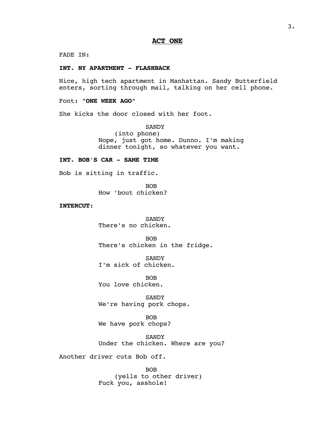FADE IN:

#### **INT. NY APARTMENT - FLASHBACK**

Nice, high tech apartment in Manhattan. Sandy Butterfield enters, sorting through mail, talking on her cell phone.

## Font: **"ONE WEEK AGO"**

She kicks the door closed with her foot.

SANDY (into phone) Nope, just got home. Dunno. I'm making dinner tonight, so whatever you want.

## **INT. BOB'S CAR - SAME TIME**

Bob is sitting in traffic.

BOB How 'bout chicken?

# **INTERCUT**:

SANDY There's no chicken.

BOB There's chicken in the fridge.

SANDY I'm sick of chicken.

BOB You love chicken.

SANDY We're having pork chops.

BOB We have pork chops?

SANDY Under the chicken. Where are you?

Another driver cuts Bob off.

BOB (yells to other driver) Fuck you, asshole!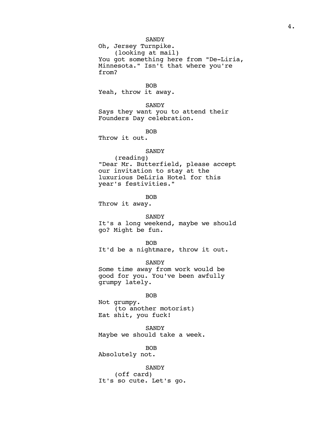#### **SANDY**

Oh, Jersey Turnpike. (looking at mail) You got something here from "De-Liria, Minnesota." Isn't that where you're from?

BOB

Yeah, throw it away.

## SANDY

Says they want you to attend their Founders Day celebration.

BOB

Throw it out.

#### SANDY

(reading) "Dear Mr. Butterfield, please accept our invitation to stay at the luxurious DeLiria Hotel for this year's festivities."

BOB

Throw it away.

SANDY It's a long weekend, maybe we should go? Might be fun.

BOB It'd be a nightmare, throw it out.

SANDY Some time away from work would be good for you. You've been awfully grumpy lately.

BOB Not grumpy. (to another motorist) Eat shit, you fuck!

SANDY Maybe we should take a week.

BOB

Absolutely not.

SANDY (off card) It's so cute. Let's go.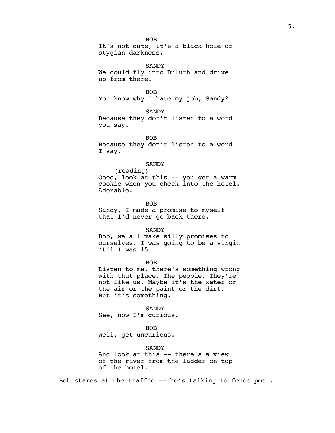BOB It's not cute, it's a black hole of stygian darkness.

SANDY We could fly into Duluth and drive up from there.

BOB You know why I hate my job, Sandy?

**SANDY** Because they don't listen to a word you say.

**BOB** Because they don't listen to a word I say.

#### **SANDY**

(reading) Oooo, look at this -- you get a warm cookie when you check into the hotel. Adorable.

BOB Sandy, I made a promise to myself that I'd never go back there.

SANDY

Bob, we all make silly promises to ourselves. I was going to be a virgin 'til I was 15.

BOB

Listen to me, there's something wrong with that place. The people. They're not like us. Maybe it's the water or the air or the paint or the dirt. But it's something.

**SANDY** See, now I'm curious.

BOB Well, get uncurious.

SANDY And look at this -- there's a view of the river from the ladder on top of the hotel.

Bob stares at the traffic -- he's talking to fence post.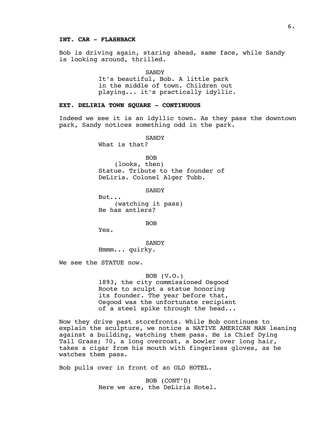## **INT. CAR - FLASHBACK**

Bob is driving again, staring ahead, same face, while Sandy is looking around, thrilled.

**SANDY** 

It's beautiful, Bob. A little park in the middle of town. Children out playing... it's practically idyllic.

#### **EXT. DELIRIA TOWN SQUARE - CONTINUOUS**

Indeed we see it is an idyllic town. As they pass the downtown park, Sandy notices something odd in the park.

**SANDY** 

What is that?

BOB

(looks, then) Statue. Tribute to the founder of DeLiria. Colonel Alger Tubb.

SANDY

But... (watching it pass) He has antlers?

BOB

Yes.

**SANDY** Hmmm... quirky.

We see the STATUE now.

BOB (V.O.)

1893, the city commissioned Osgood Roote to sculpt a statue honoring its founder. The year before that, Osgood was the unfortunate recipient of a steel spike through the head...

Now they drive past storefronts. While Bob continues to explain the sculpture, we notice a NATIVE AMERICAN MAN leaning against a building, watching them pass. He is Chief Dying Tall Grass; 70, a long overcoat, a bowler over long hair, takes a cigar from his mouth with fingerless gloves, as he watches them pass.

Bob pulls over in front of an OLD HOTEL.

BOB (CONT'D) Here we are, the DeLiria Hotel.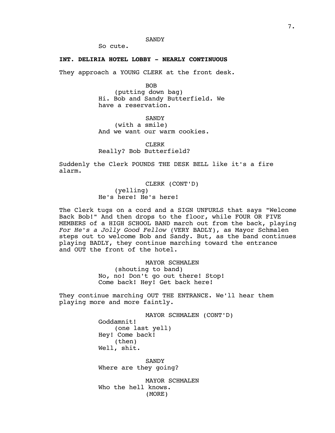**SANDY** 

So cute.

### **INT. DELIRIA HOTEL LOBBY - NEARLY CONTINUOUS**

They approach a YOUNG CLERK at the front desk.

BOB (putting down bag) Hi. Bob and Sandy Butterfield. We have a reservation.

**SANDY** (with a smile) And we want our warm cookies.

CLERK Really? Bob Butterfield?

Suddenly the Clerk POUNDS THE DESK BELL like it's a fire alarm.

> CLERK (CONT'D) (yelling) He's here! He's here!

The Clerk tugs on a cord and a SIGN UNFURLS that says "Welcome Back Bob!" And then drops to the floor, while FOUR OR FIVE MEMBERS of a HIGH SCHOOL BAND march out from the back, playing *For He's a Jolly Good Fellow* (VERY BADLY), as Mayor Schmalen steps out to welcome Bob and Sandy. But, as the band continues playing BADLY, they continue marching toward the entrance and OUT the front of the hotel.

> MAYOR SCHMALEN (shouting to band) No, no! Don't go out there! Stop! Come back! Hey! Get back here!

They continue marching OUT THE ENTRANCE. We'll hear them playing more and more faintly.

> MAYOR SCHMALEN (CONT'D) Goddamnit! (one last yell) Hey! Come back! (then) Well, shit.

**SANDY** Where are they going?

MAYOR SCHMALEN Who the hell knows. (MORE)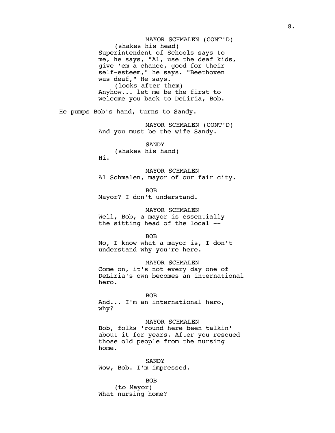MAYOR SCHMALEN (CONT'D) (shakes his head) Superintendent of Schools says to me, he says, "Al, use the deaf kids, give 'em a chance, good for their self-esteem," he says. "Beethoven was deaf," He says. (looks after them) Anyhow... let me be the first to welcome you back to DeLiria, Bob. He pumps Bob's hand, turns to Sandy. MAYOR SCHMALEN (CONT'D) And you must be the wife Sandy. **SANDY** (shakes his hand) Hi. MAYOR SCHMALEN Al Schmalen, mayor of our fair city. BOB Mayor? I don't understand. MAYOR SCHMALEN Well, Bob, a mayor is essentially the sitting head of the local -- BOB No, I know what a mayor is, I don't understand why you're here. MAYOR SCHMALEN Come on, it's not every day one of DeLiria's own becomes an international hero. BOB And... I'm an international hero, why? MAYOR SCHMALEN Bob, folks 'round here been talkin' about it for years. After you rescued those old people from the nursing home. **SANDY** Wow, Bob. I'm impressed. BOB

(to Mayor) What nursing home?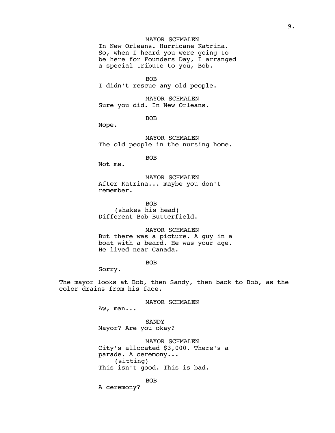# MAYOR SCHMALEN

In New Orleans. Hurricane Katrina. So, when I heard you were going to be here for Founders Day, I arranged a special tribute to you, Bob.

BOB

I didn't rescue any old people.

MAYOR SCHMALEN Sure you did. In New Orleans.

BOB

Nope.

MAYOR SCHMALEN The old people in the nursing home.

BOB

Not me.

MAYOR SCHMALEN After Katrina... maybe you don't remember.

BOB (shakes his head) Different Bob Butterfield.

MAYOR SCHMALEN But there was a picture. A guy in a boat with a beard. He was your age. He lived near Canada.

BOB

Sorry.

The mayor looks at Bob, then Sandy, then back to Bob, as the color drains from his face.

MAYOR SCHMALEN

Aw, man...

SANDY Mayor? Are you okay?

MAYOR SCHMALEN City's allocated \$3,000. There's a parade. A ceremony... (sitting) This isn't good. This is bad.

BOB

A ceremony?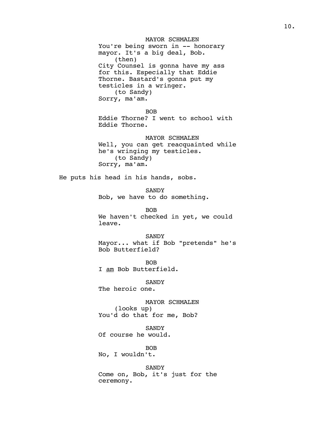MAYOR SCHMALEN You're being sworn in -- honorary mayor. It's a big deal, Bob. (then) City Counsel is gonna have my ass for this. Especially that Eddie Thorne. Bastard's gonna put my testicles in a wringer. (to Sandy) Sorry, ma'am. BOB Eddie Thorne? I went to school with Eddie Thorne. MAYOR SCHMALEN

Well, you can get reacquainted while he's wringing my testicles. (to Sandy) Sorry, ma'am.

He puts his head in his hands, sobs.

SANDY Bob, we have to do something.

BOB We haven't checked in yet, we could leave.

SANDY

Mayor... what if Bob "pretends" he's Bob Butterfield?

BOB I am Bob Butterfield.

SANDY The heroic one.

MAYOR SCHMALEN (looks up) You'd do that for me, Bob?

**SANDY** Of course he would.

BOB No, I wouldn't.

SANDY Come on, Bob, it's just for the ceremony.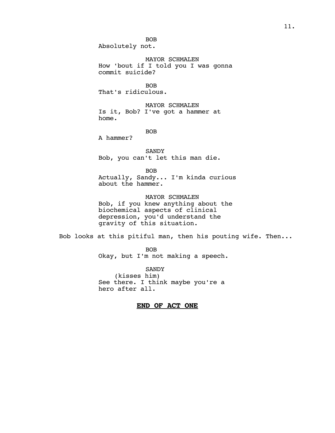BOB Absolutely not.

MAYOR SCHMALEN How 'bout if I told you I was gonna commit suicide?

BOB That's ridiculous.

MAYOR SCHMALEN Is it, Bob? I've got a hammer at home.

BOB

A hammer?

SANDY Bob, you can't let this man die.

BOB

Actually, Sandy... I'm kinda curious about the hammer.

MAYOR SCHMALEN Bob, if you knew anything about the biochemical aspects of clinical depression, you'd understand the gravity of this situation.

Bob looks at this pitiful man, then his pouting wife. Then...

BOB Okay, but I'm not making a speech.

SANDY (kisses him) See there. I think maybe you're a hero after all.

# **END OF ACT ONE**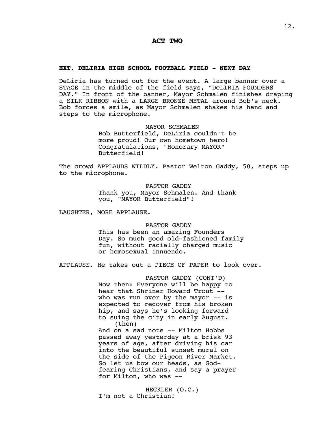# **ACT TWO**

#### **EXT. DELIRIA HIGH SCHOOL FOOTBALL FIELD - NEXT DAY**

DeLiria has turned out for the event. A large banner over a STAGE in the middle of the field says, "DeLIRIA FOUNDERS DAY." In front of the banner, Mayor Schmalen finishes draping a SILK RIBBON with a LARGE BRONZE METAL around Bob's neck. Bob forces a smile, as Mayor Schmalen shakes his hand and steps to the microphone.

MAYOR SCHMALEN

Bob Butterfield, DeLiria couldn't be more proud! Our own hometown hero! Congratulations, "Honorary MAYOR" Butterfield!

The crowd APPLAUDS WILDLY. Pastor Welton Gaddy, 50, steps up to the microphone.

> PASTOR GADDY Thank you, Mayor Schmalen. And thank you, "MAYOR Butterfield"!

LAUGHTER, MORE APPLAUSE.

PASTOR GADDY

This has been an amazing Founders Day. So much good old-fashioned family fun, without racially charged music or homosexual innuendo.

APPLAUSE. He takes out a PIECE OF PAPER to look over.

PASTOR GADDY (CONT'D) Now then: Everyone will be happy to hear that Shriner Howard Trout - who was run over by the mayor  $-$  is expected to recover from his broken hip, and says he's looking forward to suing the city in early August. (then)

And on a sad note -- Milton Hobbs passed away yesterday at a brisk 93 years of age, after driving his car into the beautiful sunset mural on the side of the Pigeon River Market. So let us bow our heads, as Godfearing Christians, and say a prayer for Milton, who was --

HECKLER (O.C.) I'm not a Christian!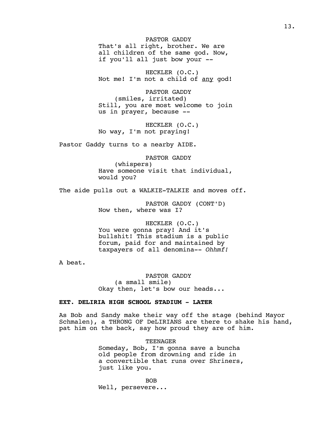PASTOR GADDY That's all right, brother. We are all children of the same god. Now, if you'll all just bow your --

HECKLER (O.C.) Not me! I'm not a child of any god!

PASTOR GADDY (smiles, irritated) Still, you are most welcome to join us in prayer, because --

HECKLER (O.C.) No way, I'm not praying!

Pastor Gaddy turns to a nearby AIDE.

PASTOR GADDY (whispers) Have someone visit that individual, would you?

The aide pulls out a WALKIE-TALKIE and moves off.

PASTOR GADDY (CONT'D) Now then, where was I?

HECKLER (O.C.) You were gonna pray! And it's bullshit! This stadium is a public forum, paid for and maintained by taxpayers of all denomina-- *Ohhmf!*

A beat.

PASTOR GADDY (a small smile) Okay then, let's bow our heads...

## **EXT. DELIRIA HIGH SCHOOL STADIUM - LATER**

As Bob and Sandy make their way off the stage (behind Mayor Schmalen), a THRONG OF DeLIRIANS are there to shake his hand, pat him on the back, say how proud they are of him.

> TEENAGER Someday, Bob, I'm gonna save a buncha old people from drowning and ride in a convertible that runs over Shriners, just like you.

BOB Well, persevere...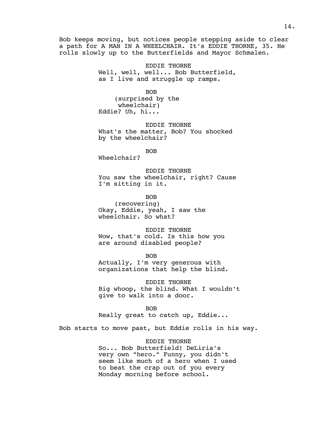Bob keeps moving, but notices people stepping aside to clear a path for A MAN IN A WHEELCHAIR. It's EDDIE THORNE, 35. He rolls slowly up to the Butterfields and Mayor Schmalen.

> EDDIE THORNE Well, well, well... Bob Butterfield, as I live and struggle up ramps.

BOB (surprised by the wheelchair) Eddie? Uh, hi...

EDDIE THORNE What's the matter, Bob? You shocked by the wheelchair?

BOB

Wheelchair?

EDDIE THORNE You saw the wheelchair, right? Cause I'm sitting in it.

BOB

(recovering) Okay, Eddie, yeah, I saw the wheelchair. So what?

EDDIE THORNE Wow, that's cold. Is this how you are around disabled people?

BOB Actually, I'm very generous with organizations that help the blind.

EDDIE THORNE Big whoop, the blind. What I wouldn't give to walk into a door.

BOB Really great to catch up, Eddie...

Bob starts to move past, but Eddie rolls in his way.

EDDIE THORNE So... Bob Butterfield! DeLiria's very own "hero." Funny, you didn't seem like much of a hero when I used to beat the crap out of you every Monday morning before school.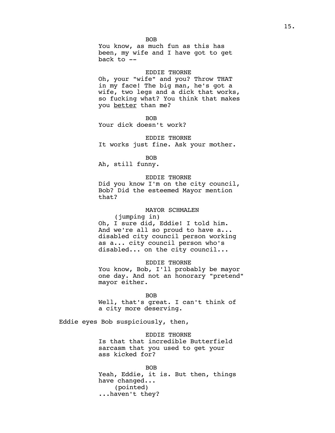BOB You know, as much fun as this has been, my wife and I have got to get back to  $-$ 

#### EDDIE THORNE

Oh, your "wife" and you? Throw THAT in my face! The big man, he's got a wife, two legs and a dick that works, so fucking what? You think that makes you better than me?

BOB

Your dick doesn't work?

#### EDDIE THORNE

It works just fine. Ask your mother.

BOB

Ah, still funny.

## EDDIE THORNE

Did you know I'm on the city council, Bob? Did the esteemed Mayor mention that?

#### MAYOR SCHMALEN

(jumping in) Oh, I sure did, Eddie! I told him. And we're all so proud to have a... disabled city council person working as a... city council person who's disabled... on the city council...

#### EDDIE THORNE

You know, Bob, I'll probably be mayor one day. And not an honorary "pretend" mayor either.

BOB

Well, that's great. I can't think of a city more deserving.

Eddie eyes Bob suspiciously, then,

# EDDIE THORNE

Is that that incredible Butterfield sarcasm that you used to get your ass kicked for?

BOB Yeah, Eddie, it is. But then, things have changed... (pointed) ...haven't they?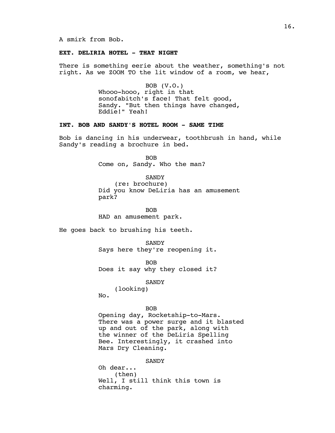# **EXT. DELIRIA HOTEL - THAT NIGHT**

There is something eerie about the weather, something's not right. As we ZOOM TO the lit window of a room, we hear,

> BOB (V.O.) Whooo-hooo, right in that sonofabitch's face! That felt good, Sandy. "But then things have changed, Eddie!" Yeah!

# **INT. BOB AND SANDY'S HOTEL ROOM - SAME TIME**

Bob is dancing in his underwear, toothbrush in hand, while Sandy's reading a brochure in bed.

> BOB Come on, Sandy. Who the man?

> > **SANDY**

(re: brochure) Did you know DeLiria has an amusement park?

BOB HAD an amusement park.

He goes back to brushing his teeth.

**SANDY** Says here they're reopening it.

BOB Does it say why they closed it?

**SANDY** 

(looking) No.

BOB

Opening day, Rocketship-to-Mars. There was a power surge and it blasted up and out of the park, along with the winner of the DeLiria Spelling Bee. Interestingly, it crashed into Mars Dry Cleaning.

**SANDY** 

Oh dear... (then) Well, I still think this town is charming.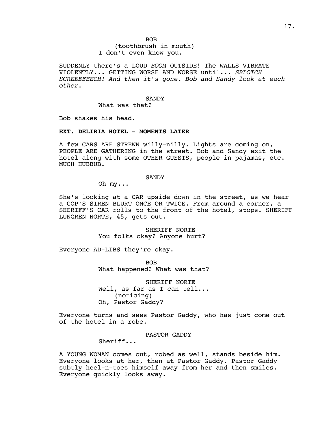BOB (toothbrush in mouth) I don't even know you.

SUDDENLY there's a LOUD *BOOM* OUTSIDE! The WALLS VIBRATE VIOLENTLY... GETTING WORSE AND WORSE until... *SBLOTCH SCREEEEEECH! And then it's gone. Bob and Sandy look at each other.* 

**SANDY** 

What was that?

Bob shakes his head.

#### **EXT. DELIRIA HOTEL - MOMENTS LATER**

A few CARS ARE STREWN willy-nilly. Lights are coming on, PEOPLE ARE GATHERING in the street. Bob and Sandy exit the hotel along with some OTHER GUESTS, people in pajamas, etc. MUCH HUBBUB.

**SANDY** 

Oh my...

She's looking at a CAR upside down in the street, as we hear a COP'S SIREN BLURT ONCE OR TWICE. From around a corner, a SHERIFF'S CAR rolls to the front of the hotel, stops. SHERIFF LUNGREN NORTE, 45, gets out.

> SHERIFF NORTE You folks okay? Anyone hurt?

Everyone AD-LIBS they're okay.

BOB What happened? What was that?

SHERIFF NORTE Well, as far as I can tell... (noticing) Oh, Pastor Gaddy?

Everyone turns and sees Pastor Gaddy, who has just come out of the hotel in a robe.

PASTOR GADDY

Sheriff...

A YOUNG WOMAN comes out, robed as well, stands beside him. Everyone looks at her, then at Pastor Gaddy. Pastor Gaddy subtly heel-n-toes himself away from her and then smiles. Everyone quickly looks away.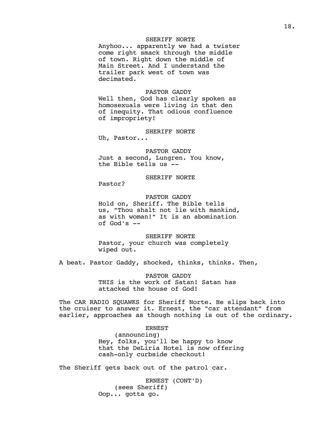# SHERIFF NORTE

Anyhoo... apparently we had a twister come right smack through the middle of town. Right down the middle of Main Street. And I understand the trailer park west of town was decimated.

#### PASTOR GADDY

Well then, God has clearly spoken as homosexuals were living in that den of inequity. That odious confluence of impropriety!

#### SHERIFF NORTE

Uh, Pastor...

PASTOR GADDY Just a second, Lungren. You know, the Bible tells us --

### SHERIFF NORTE

Pastor?

PASTOR GADDY Hold on, Sheriff. The Bible tells us, "Thou shalt not lie with mankind, as with woman!" It is an abomination of God's --

SHERIFF NORTE Pastor, your church was completely wiped out.

A beat. Pastor Gaddy, shocked, thinks, thinks. Then,

PASTOR GADDY THIS is the work of Satan! Satan has attacked the house of God!

The CAR RADIO SQUAWKS for Sheriff Norte. He slips back into the cruiser to answer it. Ernest, the "car attendant" from earlier, approaches as though nothing is out of the ordinary.

> ERNEST (announcing) Hey, folks, you'll be happy to know that the DeLiria Hotel is now offering cash-only curbside checkout!

The Sheriff gets back out of the patrol car.

ERNEST (CONT'D) (sees Sheriff) Oop... gotta go.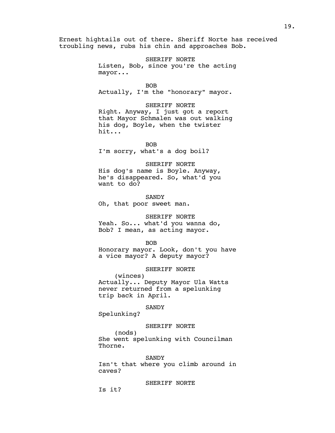Ernest hightails out of there. Sheriff Norte has received troubling news, rubs his chin and approaches Bob.

> SHERIFF NORTE Listen, Bob, since you're the acting mayor...

> > BOB

Actually, I'm the "honorary" mayor.

#### SHERIFF NORTE

Right. Anyway, I just got a report that Mayor Schmalen was out walking his dog, Boyle, when the twister hit...

BOB

I'm sorry, what's a dog boil?

### SHERIFF NORTE

His dog's name is Boyle. Anyway, he's disappeared. So, what'd you want to do?

SANDY Oh, that poor sweet man.

# SHERIFF NORTE

Yeah. So... what'd you wanna do, Bob? I mean, as acting mayor.

BOB

Honorary mayor. Look, don't you have a vice mayor? A deputy mayor?

## SHERIFF NORTE

(winces) Actually... Deputy Mayor Ula Watts never returned from a spelunking trip back in April.

#### SANDY

Spelunking?

#### SHERIFF NORTE

(nods) She went spelunking with Councilman Thorne.

#### SANDY

Isn't that where you climb around in caves?

SHERIFF NORTE

Is it?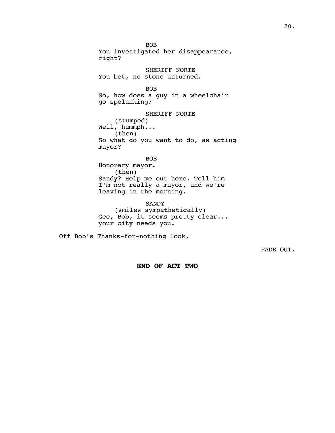BOB You investigated her disappearance, right? SHERIFF NORTE You bet, no stone unturned. BOB

So, how does a guy in a wheelchair go spelunking?

SHERIFF NORTE (stumped) Well, hummph... (then) So what do you want to do, as acting mayor?

BOB Honorary mayor. (then) Sandy? Help me out here. Tell him I'm not really a mayor, and we're leaving in the morning.

SANDY (smiles sympathetically) Gee, Bob, it seems pretty clear... your city needs you.

Off Bob's Thanks-for-nothing look,

FADE OUT.

**END OF ACT TWO**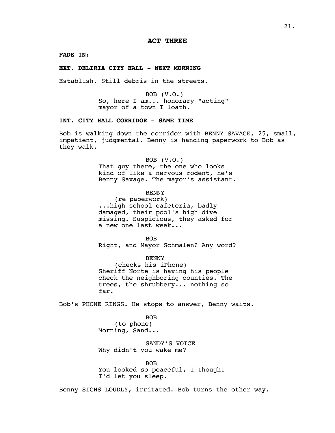**FADE IN:**

#### **EXT. DELIRIA CITY HALL - NEXT MORNING**

Establish. Still debris in the streets.

BOB (V.O.) So, here I am... honorary "acting" mayor of a town I loath.

# **INT. CITY HALL CORRIDOR - SAME TIME**

Bob is walking down the corridor with BENNY SAVAGE, 25, small, impatient, judgmental. Benny is handing paperwork to Bob as they walk.

BOB (V.O.)

That guy there, the one who looks kind of like a nervous rodent, he's Benny Savage. The mayor's assistant.

BENNY

(re paperwork) ...high school cafeteria, badly damaged, their pool's high dive missing. Suspicious, they asked for a new one last week...

BOB Right, and Mayor Schmalen? Any word?

BENNY (checks his iPhone) Sheriff Norte is having his people check the neighboring counties. The trees, the shrubbery... nothing so far.

Bob's PHONE RINGS. He stops to answer, Benny waits.

BOB (to phone) Morning, Sand...

SANDY'S VOICE Why didn't you wake me?

BOB You looked so peaceful, I thought I'd let you sleep.

Benny SIGHS LOUDLY, irritated. Bob turns the other way.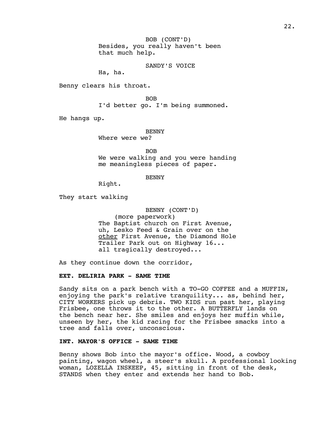BOB (CONT'D) Besides, you really haven't been that much help.

SANDY'S VOICE

Ha, ha.

Benny clears his throat.

BOB

I'd better go. I'm being summoned.

He hangs up.

BENNY

Where were we?

BOB

We were walking and you were handing me meaningless pieces of paper.

BENNY

Right.

They start walking

BENNY (CONT'D)

(more paperwork) The Baptist church on First Avenue, uh, Lesko Feed & Grain over on the other First Avenue, the Diamond Hole Trailer Park out on Highway 16... all tragically destroyed...

As they continue down the corridor,

#### **EXT. DELIRIA PARK - SAME TIME**

Sandy sits on a park bench with a TO-GO COFFEE and a MUFFIN, enjoying the park's relative tranquility... as, behind her, CITY WORKERS pick up debris. TWO KIDS run past her, playing Frisbee, one throws it to the other. A BUTTERFLY lands on the bench near her. She smiles and enjoys her muffin while, unseen by her, the kid racing for the Frisbee smacks into a tree and falls over, unconscious.

## **INT. MAYOR'S OFFICE - SAME TIME**

Benny shows Bob into the mayor's office. Wood, a cowboy painting, wagon wheel, a steer's skull. A professional looking woman, LOZELLA INSKEEP, 45, sitting in front of the desk, STANDS when they enter and extends her hand to Bob.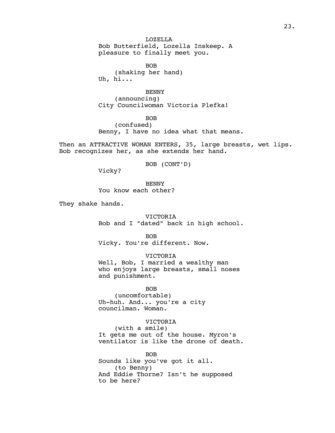LOZELLA Bob Butterfield, Lozella Inskeep. A pleasure to finally meet you.

BOB (shaking her hand) Uh, hi...

BENNY (announcing) City Councilwoman Victoria Plefka!

BOB (confused) Benny, I have no idea what that means.

Then an ATTRACTIVE WOMAN ENTERS, 35, large breasts, wet lips. Bob recognizes her, as she extends her hand.

BOB (CONT'D)

Vicky?

BENNY You know each other?

They shake hands.

VICTORIA

Bob and I "dated" back in high school.

BOB Vicky. You're different. Now.

VICTORIA

Well, Bob, I married a wealthy man who enjoys large breasts, small noses and punishment.

BOB (uncomfortable) Uh-huh. And... you're a city councilman. Woman.

VICTORIA

(with a smile) It gets me out of the house. Myron's ventilator is like the drone of death.

BOB Sounds like you've got it all. (to Benny) And Eddie Thorne? Isn't he supposed to be here?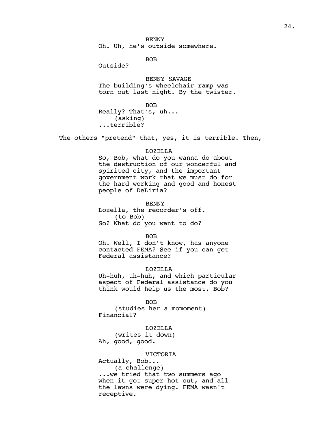BENNY Oh. Uh, he's outside somewhere.

BOB

Outside?

BENNY SAVAGE The building's wheelchair ramp was torn out last night. By the twister.

BOB Really? That's, uh...

(asking) ...terrible?

The others "pretend" that, yes, it is terrible. Then,

#### LOZELLA

So, Bob, what do you wanna do about the destruction of our wonderful and spirited city, and the important government work that we must do for the hard working and good and honest people of DeLiria?

BENNY

Lozella, the recorder's off. (to Bob) So? What do you want to do?

BOB

Oh. Well, I don't know, has anyone contacted FEMA? See if you can get Federal assistance?

#### LOZELLA

Uh-huh, uh-huh, and which particular aspect of Federal assistance do you think would help us the most, Bob?

BOB (studies her a momoment) Financial?

LOZELLA

(writes it down) Ah, good, good.

#### VICTORIA

Actually, Bob... (a challenge) ...we tried that two summers ago when it got super hot out, and all the lawns were dying. FEMA wasn't receptive.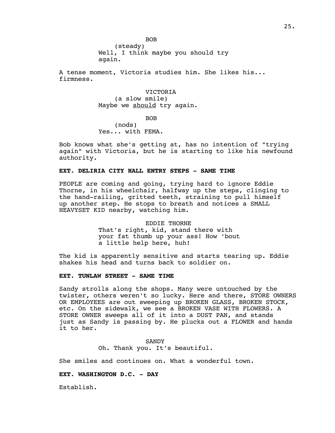BOB (steady) Well, I think maybe you should try again.

A tense moment, Victoria studies him. She likes his... firmness.

> VICTORIA (a slow smile) Maybe we should try again.

> > BOB

(nods) Yes... with FEMA.

Bob knows what she's getting at, has no intention of "trying again" with Victoria, but he is starting to like his newfound authority.

#### **EXT. DELIRIA CITY HALL ENTRY STEPS - SAME TIME**

PEOPLE are coming and going, trying hard to ignore Eddie Thorne, in his wheelchair, halfway up the steps, clinging to the hand-railing, gritted teeth, straining to pull himself up another step. He stops to breath and notices a SMALL HEAVYSET KID nearby, watching him.

> EDDIE THORNE That's right, kid, stand there with your fat thumb up your ass! How 'bout a little help here, huh!

The kid is apparently sensitive and starts tearing up. Eddie shakes his head and turns back to soldier on.

#### **EXT. TUNLAW STREET - SAME TIME**

Sandy strolls along the shops. Many were untouched by the twister, others weren't so lucky. Here and there, STORE OWNERS OR EMPLOYEES are out sweeping up BROKEN GLASS, BROKEN STOCK, etc. On the sidewalk, we see a BROKEN VASE WITH FLOWERS. A STORE OWNER sweeps all of it into a DUST PAN, and stands just as Sandy is passing by. He plucks out a FLOWER and hands it to her.

> SANDY Oh. Thank you. It's beautiful.

She smiles and continues on. What a wonderful town.

### **EXT. WASHINGTON D.C. - DAY**

Establish.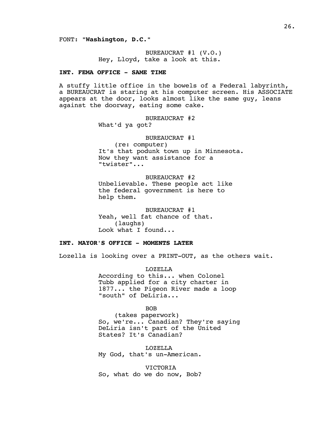FONT: **"Washington, D.C."**

BUREAUCRAT #1 (V.O.) Hey, Lloyd, take a look at this.

# **INT. FEMA OFFICE - SAME TIME**

A stuffy little office in the bowels of a Federal labyrinth, a BUREAUCRAT is staring at his computer screen. His ASSOCIATE appears at the door, looks almost like the same guy, leans against the doorway, eating some cake.

BUREAUCRAT #2

What'd ya got?

#### BUREAUCRAT #1

(re: computer) It's that podunk town up in Minnesota. Now they want assistance for a "twister"...

BUREAUCRAT #2

Unbelievable. These people act like the federal government is here to help them.

BUREAUCRAT #1 Yeah, well fat chance of that. (laughs) Look what I found...

#### **INT. MAYOR'S OFFICE - MOMENTS LATER**

Lozella is looking over a PRINT-OUT, as the others wait.

LOZELLA According to this... when Colonel Tubb applied for a city charter in 1877... the Pigeon River made a loop "south" of DeLiria...

BOB

(takes paperwork) So, we're... Canadian? They're saying DeLiria isn't part of the United States? It's Canadian?

LOZELLA My God, that's un-American.

VICTORIA So, what do we do now, Bob?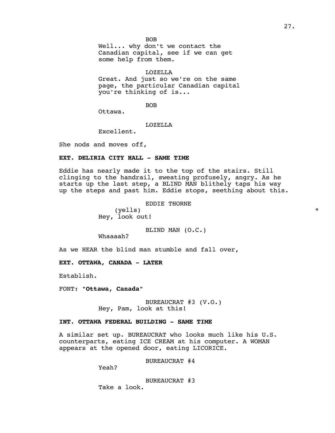BOB Well... why don't we contact the Canadian capital, see if we can get some help from them.

LOZELLA

Great. And just so we're on the same page, the particular Canadian capital you're thinking of is...

BOB

Ottawa.

## LOZELLA

Excellent.

She nods and moves off,

### **EXT. DELIRIA CITY HALL - SAME TIME**

Eddie has nearly made it to the top of the stairs. Still clinging to the handrail, sweating profusely, angry. As he starts up the last step, a BLIND MAN blithely taps his way up the steps and past him. Eddie stops, seething about this.

EDDIE THORNE

(yells) \* Hey, look out!

BLIND MAN (O.C.)

Whaaaah?

As we HEAR the blind man stumble and fall over,

**EXT. OTTAWA, CANADA - LATER**

Establish.

FONT: **"Ottawa, Canada"**

BUREAUCRAT #3 (V.O.) Hey, Pam, look at this!

# **INT. OTTAWA FEDERAL BUILDING - SAME TIME**

A similar set up. BUREAUCRAT who looks much like his U.S. counterparts, eating ICE CREAM at his computer. A WOMAN appears at the opened door, eating LICORICE.

BUREAUCRAT #4

Yeah?

BUREAUCRAT #3 Take a look.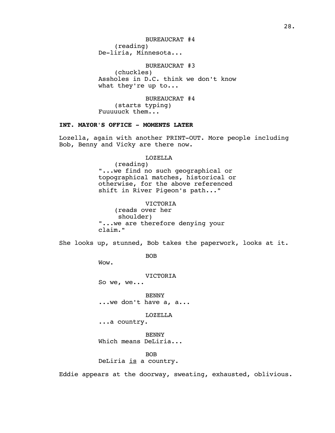BUREAUCRAT #4 (reading) De-liria, Minnesota...

#### BUREAUCRAT #3

(chuckles) Assholes in D.C. think we don't know what they're up to...

BUREAUCRAT #4 (starts typing) Fuuuuuck them...

# **INT. MAYOR'S OFFICE - MOMENTS LATER**

Lozella, again with another PRINT-OUT. More people including Bob, Benny and Vicky are there now.

### LOZELLA

(reading) "...we find no such geographical or topographical matches, historical or otherwise, for the above referenced shift in River Pigeon's path..."

#### VICTORIA

(reads over her shoulder) "...we are therefore denying your claim."

She looks up, stunned, Bob takes the paperwork, looks at it.

BOB

Wow.

VICTORIA

So we, we...

BENNY ...we don't have a, a...

LOZELLA

...a country.

BENNY Which means DeLiria...

BOB DeLiria is a country.

Eddie appears at the doorway, sweating, exhausted, oblivious.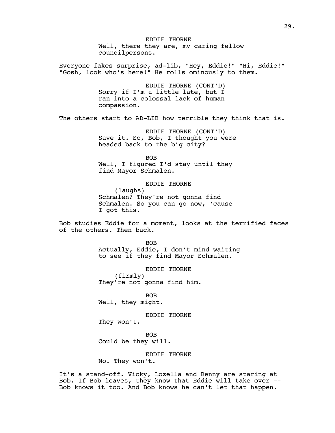EDDIE THORNE Well, there they are, my caring fellow councilpersons. Everyone fakes surprise, ad-lib, "Hey, Eddie!" "Hi, Eddie!" "Gosh, look who's here!" He rolls ominously to them. EDDIE THORNE (CONT'D) Sorry if I'm a little late, but I ran into a colossal lack of human compassion. The others start to AD-LIB how terrible they think that is. EDDIE THORNE (CONT'D) Save it. So, Bob, I thought you were headed back to the big city? BOB Well, I figured I'd stay until they find Mayor Schmalen. EDDIE THORNE (laughs) Schmalen? They're not gonna find Schmalen. So you can go now, 'cause I got this. Bob studies Eddie for a moment, looks at the terrified faces of the others. Then back. BOB Actually, Eddie, I don't mind waiting to see if they find Mayor Schmalen. EDDIE THORNE (firmly) They're not gonna find him. BOB Well, they might. EDDIE THORNE They won't. BOB

Could be they will.

EDDIE THORNE

No. They won't.

It's a stand-off. Vicky, Lozella and Benny are staring at Bob. If Bob leaves, they know that Eddie will take over -- Bob knows it too. And Bob knows he can't let that happen.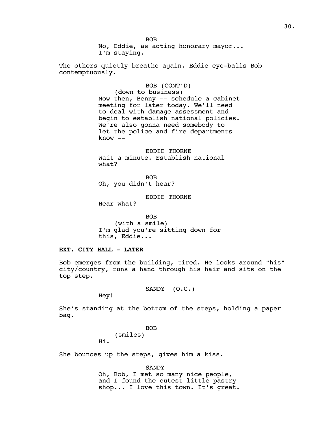BOB No, Eddie, as acting honorary mayor... I'm staying.

The others quietly breathe again. Eddie eye-balls Bob contemptuously.

#### BOB (CONT'D)

(down to business) Now then, Benny -- schedule a cabinet meeting for later today. We'll need to deal with damage assessment and begin to establish national policies. We're also gonna need somebody to let the police and fire departments know --

EDDIE THORNE Wait a minute. Establish national what?

BOB Oh, you didn't hear?

EDDIE THORNE

Hear what?

BOB (with a smile) I'm glad you're sitting down for this, Eddie...

# **EXT. CITY HALL - LATER**

Bob emerges from the building, tired. He looks around "his" city/country, runs a hand through his hair and sits on the top step.

SANDY (O.C.)

Hey!

She's standing at the bottom of the steps, holding a paper bag.

> BOB (smiles)

Hi.

She bounces up the steps, gives him a kiss.

SANDY

Oh, Bob, I met so many nice people, and I found the cutest little pastry shop... I love this town. It's great.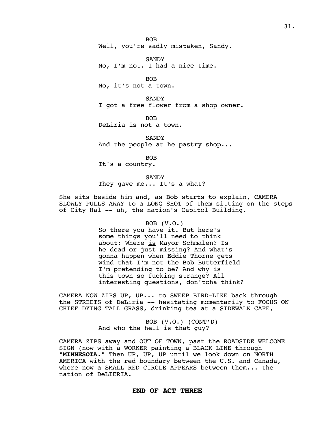BOB Well, you're sadly mistaken, Sandy.

SANDY No, I'm not. I had a nice time.

BOB No, it's not a town.

**SANDY** I got a free flower from a shop owner.

BOB DeLiria is not a town.

SANDY And the people at he pastry shop...

BOB

It's a country.

SANDY They gave me... It's a what?

She sits beside him and, as Bob starts to explain, CAMERA SLOWLY PULLS AWAY to a LONG SHOT of them sitting on the steps of City Hal -- uh, the nation's Capitol Building.

#### BOB (V.O.)

So there you have it. But here's some things you'll need to think about: Where is Mayor Schmalen? Is he dead or just missing? And what's gonna happen when Eddie Thorne gets wind that I'm not the Bob Butterfield I'm pretending to be? And why is this town so fucking strange? All interesting questions, don'tcha think?

CAMERA NOW ZIPS UP, UP... to SWEEP BIRD-LIKE back through the STREETS of DeLiria -- hesitating momentarily to FOCUS ON CHIEF DYING TALL GRASS, drinking tea at a SIDEWALK CAFE,

> BOB (V.O.) (CONT'D) And who the hell is that guy?

CAMERA ZIPS away and OUT OF TOWN, past the ROADSIDE WELCOME SIGN (now with a WORKER painting a BLACK LINE through **"MINNESOTA."** Then UP, UP, UP until we look down on NORTH AMERICA with the red boundary between the U.S. and Canada, where now a SMALL RED CIRCLE APPEARS between them... the nation of DeLIERIA.

# **END OF ACT THREE**